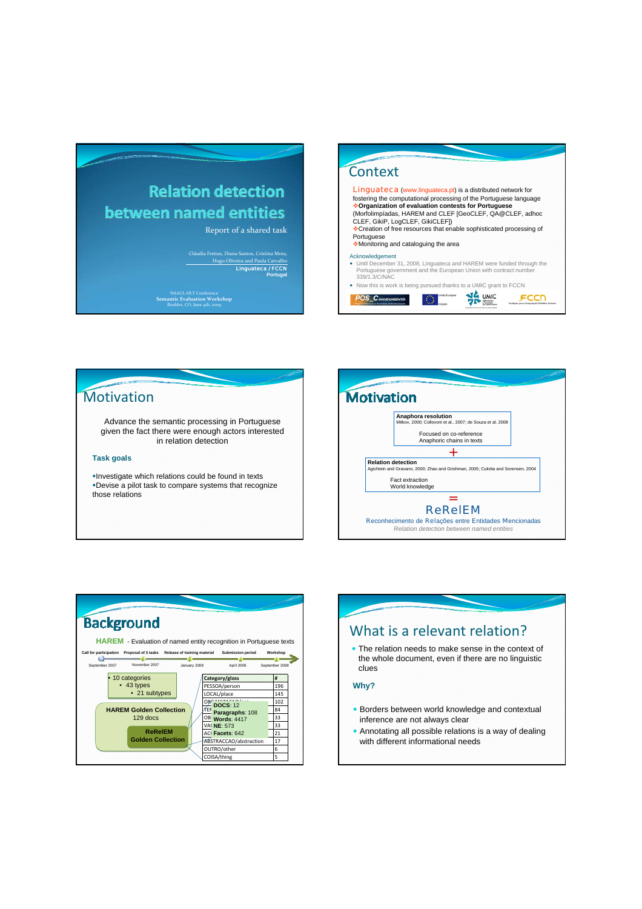# **Relation detection** between named entities

Report of a shared task

Cláudia Freitas, Diana Santos, Cristina Mota, Hugo Oliveira and Paula Carvalho Linguateca / FCCN **Portugal**

NAACL‐HLT Conference **Semantic Evaluation Workshop** Boulder, CO, June 4th, 2009



### **Motivation**

Advance the semantic processing in Portuguese given the fact there were enough actors interested in relation detection

#### **Task goals**

Investigate which relations could be found in texts Devise a pilot task to compare systems that recognize those relations







• Annotating all possible relations is a way of dealing with different informational needs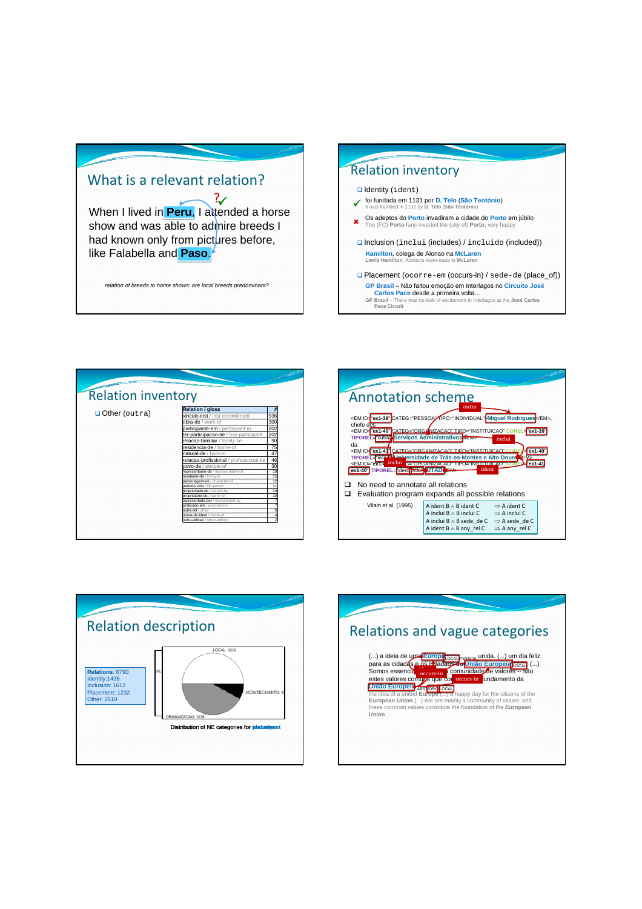## What is a relevant relation?

When I lived in **Peru**. I attended a horse show and was able to admire breeds I had known only from pictures before, like Falabella and **Paso**.  $\mathcal{Z}$ 

*relation of breeds to horse shows: are local breeds predominant?*





| <b>Annotation scheme</b><br>outra<br><em categ="PESSOA" em="" id="ex1-39" miguel="" rodrigues<="" tipo="INDIVIDUAL">,<br/>chefe dos<br/><em administrativos<br="" categ="ORG/" corel="ex1-39&lt;br&gt;TIPOREL=" id="ex1-40" nizacao"="" outra"="" serviços="" tipo="INSTITUICAO">inclui<br/>da<br/><em categ="ORGANIZACAO" corfi<br="" id="ex1-41" tipo="INSTITUICAO">-cx1-40<br/>TIPOREL="incluy" Liniversidade de Trás-os-Montes e Alto Douro<br/>inclui<br/>CEVORGANIZACAO TIPOE INSTITUIRA O CORE<br/><em id="ex1-4&lt;br&gt;ident&lt;br&gt;ex1-40" ncture="" tiporel="ident" utadoem=""></em></em></em></em> |                                                                                                                                       |                                                                                                               |  |
|-------------------------------------------------------------------------------------------------------------------------------------------------------------------------------------------------------------------------------------------------------------------------------------------------------------------------------------------------------------------------------------------------------------------------------------------------------------------------------------------------------------------------------------------------------------------------------------------------------------------|---------------------------------------------------------------------------------------------------------------------------------------|---------------------------------------------------------------------------------------------------------------|--|
| No need to annotate all relations<br>Evaluation program expands all possible relations                                                                                                                                                                                                                                                                                                                                                                                                                                                                                                                            |                                                                                                                                       |                                                                                                               |  |
| Vilain et al. (1995)                                                                                                                                                                                                                                                                                                                                                                                                                                                                                                                                                                                              | A ident $B \wedge B$ ident C.<br>A inclui $B \wedge B$ inclui C.<br>A inclui $B \wedge B$ sede de C<br>A ident $B \wedge B$ any rel C | $\Rightarrow$ A ident C<br>$\Rightarrow$ A inclui C<br>$\Rightarrow$ A sede de C<br>$\Rightarrow$ A any rel C |  |



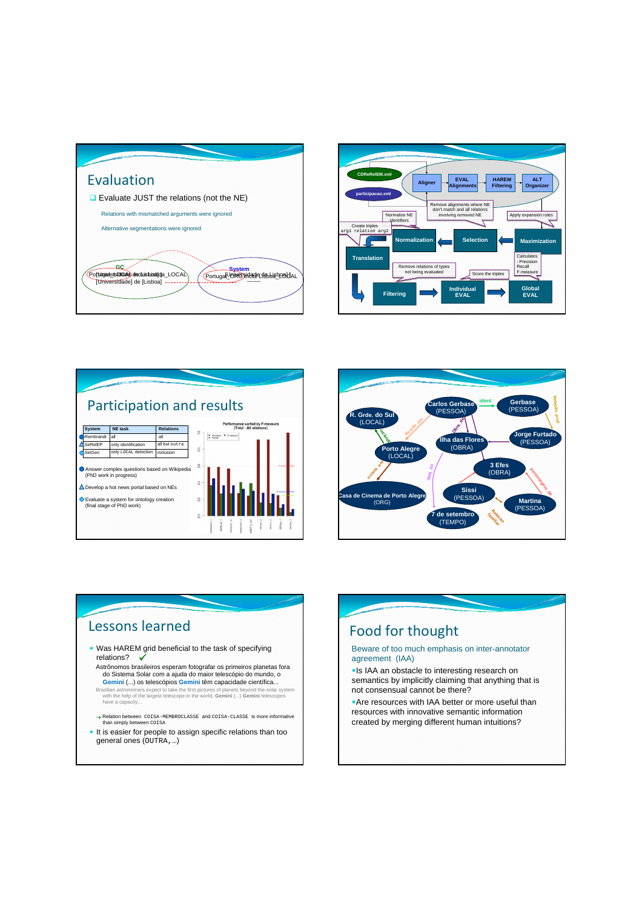







### Lessons learned

- Was HAREM grid beneficial to the task of specifying relations?  $\checkmark$
- Astrônomos brasileiros esperam fotografar os primeiros planetas fora do Sistema Solar com a ajuda do maior telescópio do mundo, o **Gemini** (...) os telescópios **Gemini** têm capacidade científica...
- Brazilian astronomers expect to take the first pictures of planets beyond the solar system with the help of the largest telescope in the world, **Gemini** (...) **Gemini** telescopes have a capacity...
- → Relation between COISA-MEMBROCLASSE and COISA-CLASSE is more informative than simply between COISA
- It is easier for people to assign specific relations than too general ones (OUTRA,…)

### Food for thought Beware of too much emphasis on inter-annotator agreement (IAA) • Is IAA an obstacle to interesting research on semantics by implicitly claiming that anything that is not consensual cannot be there? • Are resources with IAA better or more useful than resources with innovative semantic information created by merging different human intuitions?